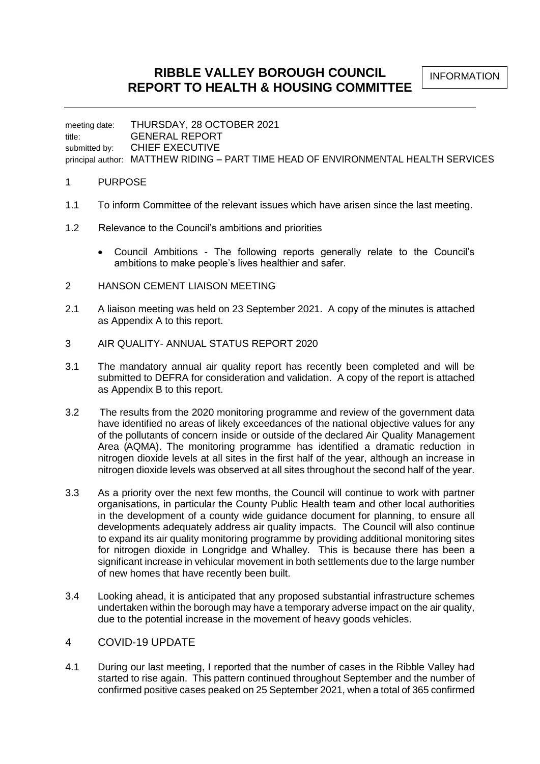**RIBBLE VALLEY BOROUGH COUNCIL REPORT TO HEALTH & HOUSING COMMITTEE**

INFORMATION

meeting date: THURSDAY, 28 OCTOBER 2021 title: GENERAL REPORT submitted by: CHIEF EXECUTIVE principal author: MATTHEW RIDING – PART TIME HEAD OF ENVIRONMENTAL HEALTH SERVICES

## 1 PURPOSE

- 1.1 To inform Committee of the relevant issues which have arisen since the last meeting.
- 1.2 Relevance to the Council's ambitions and priorities
	- Council Ambitions The following reports generally relate to the Council's ambitions to make people's lives healthier and safer.
- 2 HANSON CEMENT LIAISON MEETING
- 2.1 A liaison meeting was held on 23 September 2021. A copy of the minutes is attached as Appendix A to this report.
- 3 AIR QUALITY- ANNUAL STATUS REPORT 2020
- 3.1 The mandatory annual air quality report has recently been completed and will be submitted to DEFRA for consideration and validation. A copy of the report is attached as Appendix B to this report.
- 3.2 The results from the 2020 monitoring programme and review of the government data have identified no areas of likely exceedances of the national objective values for any of the pollutants of concern inside or outside of the declared Air Quality Management Area (AQMA). The monitoring programme has identified a dramatic reduction in nitrogen dioxide levels at all sites in the first half of the year, although an increase in nitrogen dioxide levels was observed at all sites throughout the second half of the year.
- 3.3 As a priority over the next few months, the Council will continue to work with partner organisations, in particular the County Public Health team and other local authorities in the development of a county wide guidance document for planning, to ensure all developments adequately address air quality impacts. The Council will also continue to expand its air quality monitoring programme by providing additional monitoring sites for nitrogen dioxide in Longridge and Whalley. This is because there has been a significant increase in vehicular movement in both settlements due to the large number of new homes that have recently been built.
- 3.4 Looking ahead, it is anticipated that any proposed substantial infrastructure schemes undertaken within the borough may have a temporary adverse impact on the air quality, due to the potential increase in the movement of heavy goods vehicles.

## 4 COVID-19 UPDATE

4.1 During our last meeting, I reported that the number of cases in the Ribble Valley had started to rise again. This pattern continued throughout September and the number of confirmed positive cases peaked on 25 September 2021, when a total of 365 confirmed